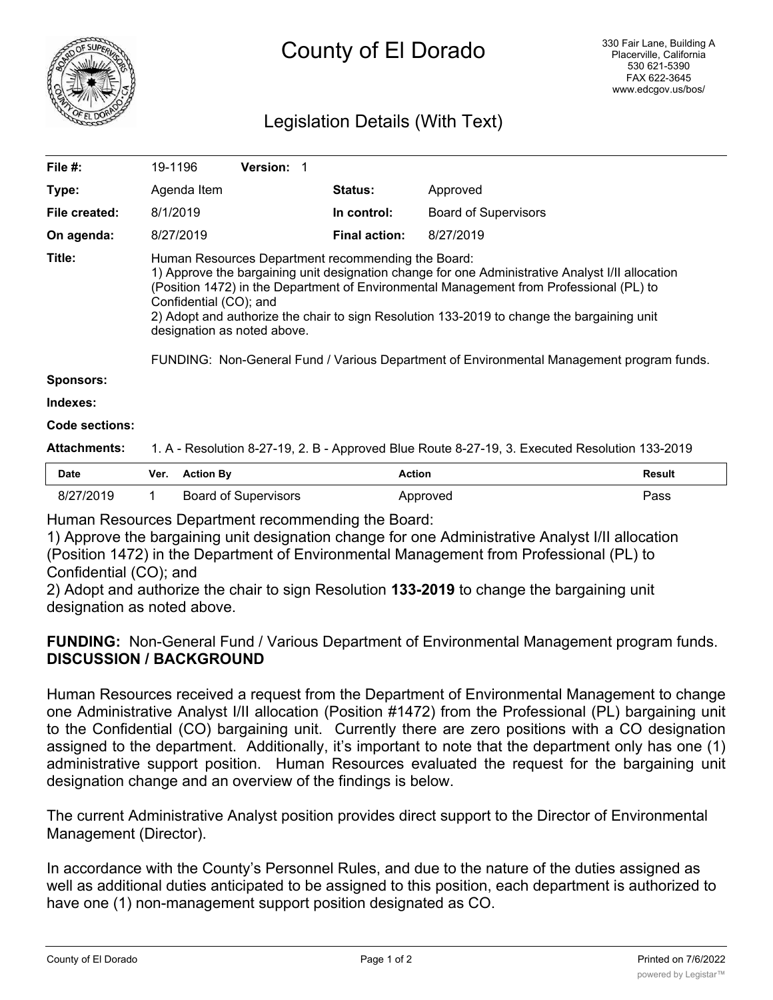

# Legislation Details (With Text)

| File $#$ :          | 19-1196                                                                                                                                                                                                                                                                                                                                                                                                                                                                                               | <b>Version: 1</b>           |                      |                             |               |
|---------------------|-------------------------------------------------------------------------------------------------------------------------------------------------------------------------------------------------------------------------------------------------------------------------------------------------------------------------------------------------------------------------------------------------------------------------------------------------------------------------------------------------------|-----------------------------|----------------------|-----------------------------|---------------|
| Type:               | Agenda Item                                                                                                                                                                                                                                                                                                                                                                                                                                                                                           |                             | <b>Status:</b>       | Approved                    |               |
| File created:       | 8/1/2019                                                                                                                                                                                                                                                                                                                                                                                                                                                                                              |                             | In control:          | <b>Board of Supervisors</b> |               |
| On agenda:          | 8/27/2019                                                                                                                                                                                                                                                                                                                                                                                                                                                                                             |                             | <b>Final action:</b> | 8/27/2019                   |               |
| Title:              | Human Resources Department recommending the Board:<br>1) Approve the bargaining unit designation change for one Administrative Analyst I/II allocation<br>(Position 1472) in the Department of Environmental Management from Professional (PL) to<br>Confidential (CO); and<br>2) Adopt and authorize the chair to sign Resolution 133-2019 to change the bargaining unit<br>designation as noted above.<br>FUNDING: Non-General Fund / Various Department of Environmental Management program funds. |                             |                      |                             |               |
| <b>Sponsors:</b>    |                                                                                                                                                                                                                                                                                                                                                                                                                                                                                                       |                             |                      |                             |               |
| Indexes:            |                                                                                                                                                                                                                                                                                                                                                                                                                                                                                                       |                             |                      |                             |               |
| Code sections:      |                                                                                                                                                                                                                                                                                                                                                                                                                                                                                                       |                             |                      |                             |               |
| <b>Attachments:</b> | 1. A - Resolution 8-27-19, 2. B - Approved Blue Route 8-27-19, 3. Executed Resolution 133-2019                                                                                                                                                                                                                                                                                                                                                                                                        |                             |                      |                             |               |
| <b>Date</b>         | <b>Action By</b><br>Ver.                                                                                                                                                                                                                                                                                                                                                                                                                                                                              |                             | <b>Action</b>        |                             | <b>Result</b> |
| 8/27/2019           |                                                                                                                                                                                                                                                                                                                                                                                                                                                                                                       | <b>Board of Supervisors</b> |                      | Approved                    | Pass          |

Human Resources Department recommending the Board:

1) Approve the bargaining unit designation change for one Administrative Analyst I/II allocation (Position 1472) in the Department of Environmental Management from Professional (PL) to Confidential (CO); and

2) Adopt and authorize the chair to sign Resolution **133-2019** to change the bargaining unit designation as noted above.

**FUNDING:** Non-General Fund / Various Department of Environmental Management program funds. **DISCUSSION / BACKGROUND**

Human Resources received a request from the Department of Environmental Management to change one Administrative Analyst I/II allocation (Position #1472) from the Professional (PL) bargaining unit to the Confidential (CO) bargaining unit. Currently there are zero positions with a CO designation assigned to the department. Additionally, it's important to note that the department only has one (1) administrative support position. Human Resources evaluated the request for the bargaining unit designation change and an overview of the findings is below.

The current Administrative Analyst position provides direct support to the Director of Environmental Management (Director).

In accordance with the County's Personnel Rules, and due to the nature of the duties assigned as well as additional duties anticipated to be assigned to this position, each department is authorized to have one (1) non-management support position designated as CO.